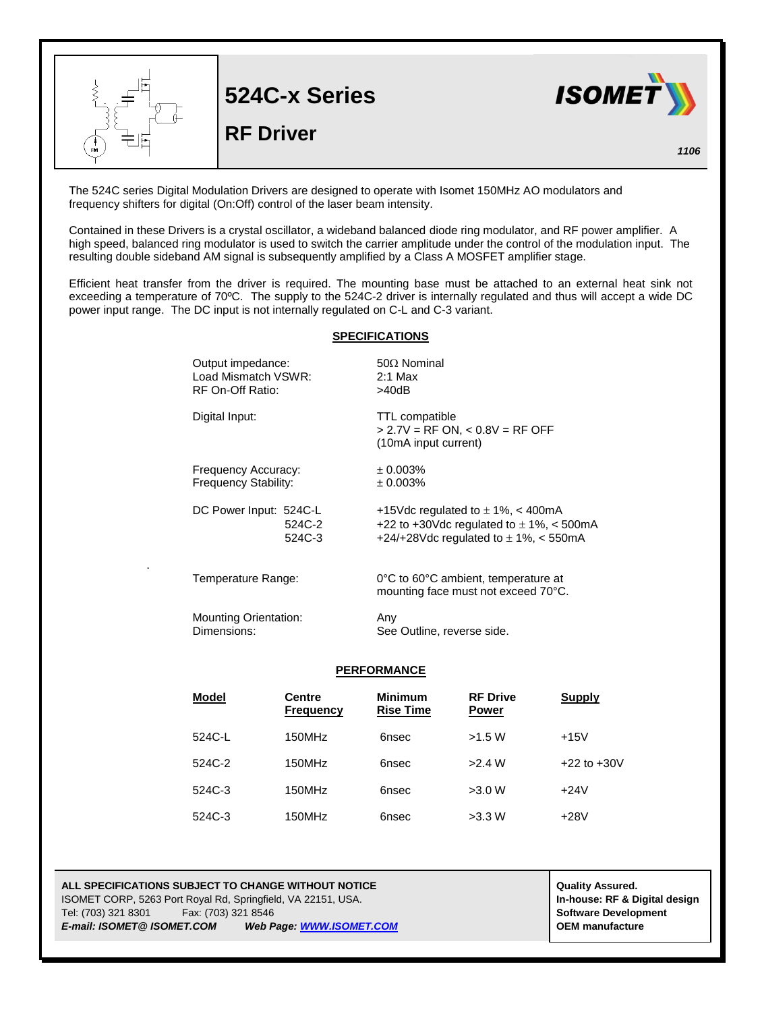

The 524C series Digital Modulation Drivers are designed to operate with Isomet 150MHz AO modulators and frequency shifters for digital (On:Off) control of the laser beam intensity.

Contained in these Drivers is a crystal oscillator, a wideband balanced diode ring modulator, and RF power amplifier. A high speed, balanced ring modulator is used to switch the carrier amplitude under the control of the modulation input. The resulting double sideband AM signal is subsequently amplified by a Class A MOSFET amplifier stage.

Efficient heat transfer from the driver is required. The mounting base must be attached to an external heat sink not exceeding a temperature of 70ºC. The supply to the 524C-2 driver is internally regulated and thus will accept a wide DC power input range. The DC input is not internally regulated on C-L and C-3 variant.

## **SPECIFICATIONS**

| Output impedance:<br>Load Mismatch VSWR:<br>RF On-Off Ratio: | $50\Omega$ Nominal<br>$2:1$ Max<br>>40dB                                                                                           |
|--------------------------------------------------------------|------------------------------------------------------------------------------------------------------------------------------------|
| Digital Input:                                               | <b>TTL compatible</b><br>$> 2.7V = RF ON$ , < 0.8V = RF OFF<br>(10mA input current)                                                |
| Frequency Accuracy:<br><b>Frequency Stability:</b>           | $± 0.003\%$<br>± 0.003%                                                                                                            |
| DC Power Input: 524C-L<br>524C-2<br>524C-3                   | +15Vdc regulated to $\pm$ 1%, < 400mA<br>+22 to +30Vdc regulated to $\pm$ 1%, < 500mA<br>+24/+28Vdc regulated to $\pm$ 1%, < 550mA |
| Temperature Range:                                           | 0°C to 60°C ambient, temperature at<br>mounting face must not exceed 70°C.                                                         |
| <b>Mounting Orientation:</b><br>Dimensions:                  | Any<br>See Outline, reverse side.                                                                                                  |

## **PERFORMANCE**

| <b>Model</b> | <b>Centre</b><br><b>Frequency</b> | <b>Minimum</b><br><b>Rise Time</b> | <b>RF Drive</b><br><b>Power</b> | Supply          |
|--------------|-----------------------------------|------------------------------------|---------------------------------|-----------------|
| 524C-L       | 150MHz                            | 6nsec                              | >1.5 W                          | $+15V$          |
| 524C-2       | 150MHz                            | 6nsec                              | >2.4 W                          | $+22$ to $+30V$ |
| 524C-3       | 150MHz                            | 6nsec                              | >3.0 W                          | $+24V$          |
| 524C-3       | 150MHz                            | 6nsec                              | >3.3 W                          | $+28V$          |

## **ALL SPECIFICATIONS SUBJECT TO CHANGE WITHOUT NOTICE ALL SPECIFICATIONS SUBJECT TO CHANGE WITHOUT NOTICE** ISOMET CORP, 5263 Port Royal Rd, Springfield, VA 22151, USA. **In-house: RF & Digital design** Tel: (703) 321 8301 Fax: (703) 321 8546 **Software Development** *E-mail: ISOMET@ ISOMET.COM Web Page[: WWW.ISOMET.COM](http://www.isomet.com/)* **OEM manufacture**

.